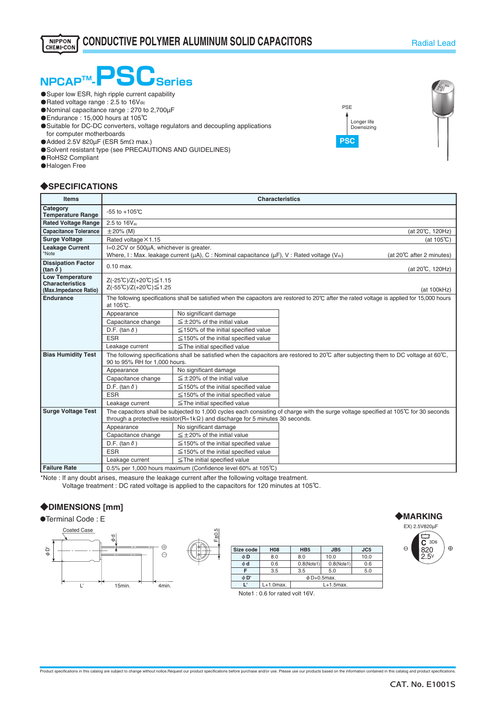

- **O** Super low ESR, high ripple current capability
- ・Rated voltage range : 2.5 to 16Vdc
- ・Nominal capacitance range : 270 to 2,700µF
- ・Endurance : 15,000 hours at 105℃
- ・Suitable for DC-DC converters, voltage regulators and decoupling applications for computer motherboards
- **■Added 2.5V 820μF (ESR 5mΩ max.)**
- O Solvent resistant type (see PRECAUTIONS AND GUIDELINES)
- ・RoHS2 Compliant
- **O**Halogen Free

### ◆**SPECIFICATIONS**

| <b>Items</b>                                                              | <b>Characteristics</b>                                                                                                                                                                                                       |                                                                                                                                                                                           |                      |  |  |  |
|---------------------------------------------------------------------------|------------------------------------------------------------------------------------------------------------------------------------------------------------------------------------------------------------------------------|-------------------------------------------------------------------------------------------------------------------------------------------------------------------------------------------|----------------------|--|--|--|
| Category<br><b>Temperature Range</b>                                      | $-55$ to $+105^{\circ}$ C                                                                                                                                                                                                    |                                                                                                                                                                                           |                      |  |  |  |
| <b>Rated Voltage Range</b>                                                | $2.5$ to $16V_{dc}$                                                                                                                                                                                                          |                                                                                                                                                                                           |                      |  |  |  |
| <b>Capacitance Tolerance</b>                                              | $\pm 20\%$ (M)                                                                                                                                                                                                               |                                                                                                                                                                                           | (at 20°C, 120Hz)     |  |  |  |
| <b>Surge Voltage</b>                                                      | Rated voltage × 1.15                                                                                                                                                                                                         |                                                                                                                                                                                           | (at $105^{\circ}$ C) |  |  |  |
| <b>Leakage Current</b><br>*Note                                           |                                                                                                                                                                                                                              | I=0.2CV or 500µA, whichever is greater.<br>Where, I: Max. leakage current ( $\mu$ A), C: Nominal capacitance ( $\mu$ F), V: Rated voltage (V <sub>dc</sub> )<br>(at 20°C after 2 minutes) |                      |  |  |  |
| <b>Dissipation Factor</b><br>(tan $\delta$ )                              | $0.10$ max.<br>(at 20℃, 120Hz)                                                                                                                                                                                               |                                                                                                                                                                                           |                      |  |  |  |
| <b>Low Temperature</b><br><b>Characteristics</b><br>(Max.Impedance Ratio) | Z(-25℃)/Z(+20℃)≤1.15<br>Z(-55℃)/Z(+20℃)≤1.25<br>(at 100kHz)                                                                                                                                                                  |                                                                                                                                                                                           |                      |  |  |  |
| <b>Endurance</b>                                                          | The following specifications shall be satisfied when the capacitors are restored to 20°C after the rated voltage is applied for 15,000 hours<br>at 105°C.                                                                    |                                                                                                                                                                                           |                      |  |  |  |
|                                                                           | Appearance                                                                                                                                                                                                                   | No significant damage                                                                                                                                                                     |                      |  |  |  |
|                                                                           | Capacitance change                                                                                                                                                                                                           | $\leq$ ± 20% of the initial value                                                                                                                                                         |                      |  |  |  |
|                                                                           | D.F. (tan $\delta$ )                                                                                                                                                                                                         | $\leq$ 150% of the initial specified value                                                                                                                                                |                      |  |  |  |
|                                                                           | <b>ESR</b>                                                                                                                                                                                                                   | $\leq$ 150% of the initial specified value                                                                                                                                                |                      |  |  |  |
|                                                                           | Leakage current                                                                                                                                                                                                              | $\le$ The initial specified value                                                                                                                                                         |                      |  |  |  |
| <b>Bias Humidity Test</b>                                                 | The following specifications shall be satisfied when the capacitors are restored to 20 $\degree$ C after subjecting them to DC voltage at 60 $\degree$ C.<br>90 to 95% RH for 1,000 hours.                                   |                                                                                                                                                                                           |                      |  |  |  |
|                                                                           | Appearance                                                                                                                                                                                                                   | No significant damage                                                                                                                                                                     |                      |  |  |  |
|                                                                           | Capacitance change                                                                                                                                                                                                           | $\leq \pm 20\%$ of the initial value                                                                                                                                                      |                      |  |  |  |
|                                                                           | D.F. (tan $\delta$ )                                                                                                                                                                                                         | $\leq$ 150% of the initial specified value                                                                                                                                                |                      |  |  |  |
|                                                                           | <b>ESR</b>                                                                                                                                                                                                                   | $\leq$ 150% of the initial specified value                                                                                                                                                |                      |  |  |  |
|                                                                           | Leakage current                                                                                                                                                                                                              |                                                                                                                                                                                           |                      |  |  |  |
| <b>Surge Voltage Test</b>                                                 | The capacitors shall be subjected to 1,000 cycles each consisting of charge with the surge voltage specified at 105℃ for 30 seconds<br>through a protective resistor( $R=1k\Omega$ ) and discharge for 5 minutes 30 seconds. |                                                                                                                                                                                           |                      |  |  |  |
|                                                                           | Appearance                                                                                                                                                                                                                   | No significant damage                                                                                                                                                                     |                      |  |  |  |
|                                                                           | Capacitance change                                                                                                                                                                                                           | $\leq \pm 20\%$ of the initial value                                                                                                                                                      |                      |  |  |  |
|                                                                           | D.F. (tan $\delta$ )                                                                                                                                                                                                         | $\leq$ 150% of the initial specified value                                                                                                                                                |                      |  |  |  |
|                                                                           | <b>ESR</b>                                                                                                                                                                                                                   | $\leq$ 150% of the initial specified value                                                                                                                                                |                      |  |  |  |
|                                                                           | Leakage current                                                                                                                                                                                                              | $\leq$ The initial specified value                                                                                                                                                        |                      |  |  |  |
| - - - -                                                                   |                                                                                                                                                                                                                              |                                                                                                                                                                                           |                      |  |  |  |

**Failure Rate component 1.000 hours maximum (Confidence level 60% at 105℃)** \*Note : If any doubt arises, measure the leakage current after the following voltage treatment.

Voltage treatment : DC rated voltage is applied to the capacitors for 120 minutes at 105℃.

## ◆**DIMENSIONS [mm]**





| Size code | <b>H08</b>                   | HB <sub>5</sub> | JB <sub>5</sub> | JC <sub>5</sub> |
|-----------|------------------------------|-----------------|-----------------|-----------------|
| φD        | 8.0                          | 8.0             | 10.0            | 10.0            |
| $\phi$ d  | 0.6                          | 0.8(Note1)      | 0.8(Note1)      | 0.6             |
| F         | 3.5                          | 3.5             | 5.0             | 5.0             |
| φD'       | $\phi$ D+0.5max.             |                 |                 |                 |
| г         | $L+1.0$ max.<br>$L+1.5$ max. |                 |                 |                 |

Note1 : 0.6 for rated volt 16V.



◆**MARKING**

EX) 2.5V820µF

**C** 3D6 820 クら

 $\oplus$